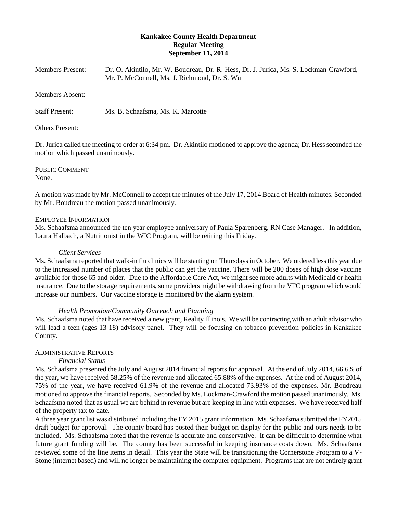# **Kankakee County Health Department Regular Meeting September 11, 2014**

| <b>Members Present:</b> | Dr. O. Akintilo, Mr. W. Boudreau, Dr. R. Hess, Dr. J. Jurica, Ms. S. Lockman-Crawford, |
|-------------------------|----------------------------------------------------------------------------------------|
|                         | Mr. P. McConnell, Ms. J. Richmond, Dr. S. Wu                                           |
|                         |                                                                                        |

Members Absent:

Staff Present: Ms. B. Schaafsma, Ms. K. Marcotte

### Others Present:

Dr. Jurica called the meeting to order at 6:34 pm. Dr. Akintilo motioned to approve the agenda; Dr. Hess seconded the motion which passed unanimously.

PUBLIC COMMENT None.

A motion was made by Mr. McConnell to accept the minutes of the July 17, 2014 Board of Health minutes. Seconded by Mr. Boudreau the motion passed unanimously.

#### EMPLOYEE INFORMATION

Ms. Schaafsma announced the ten year employee anniversary of Paula Sparenberg, RN Case Manager. In addition, Laura Halbach, a Nutritionist in the WIC Program, will be retiring this Friday.

#### *Client Services*

Ms. Schaafsma reported that walk-in flu clinics will be starting on Thursdays in October. We ordered less this year due to the increased number of places that the public can get the vaccine. There will be 200 doses of high dose vaccine available for those 65 and older. Due to the Affordable Care Act, we might see more adults with Medicaid or health insurance. Due to the storage requirements, some providers might be withdrawing from the VFC program which would increase our numbers. Our vaccine storage is monitored by the alarm system.

# *Health Promotion/Community Outreach and Planning*

Ms. Schaafsma noted that have received a new grant, Reality Illinois. We will be contracting with an adult advisor who will lead a teen (ages 13-18) advisory panel. They will be focusing on tobacco prevention policies in Kankakee County.

# ADMINISTRATIVE REPORTS

# *Financial Status*

Ms. Schaafsma presented the July and August 2014 financial reports for approval. At the end of July 2014, 66.6% of the year, we have received 58.25% of the revenue and allocated 65.88% of the expenses. At the end of August 2014, 75% of the year, we have received 61.9% of the revenue and allocated 73.93% of the expenses. Mr. Boudreau motioned to approve the financial reports. Seconded by Ms. Lockman-Crawford the motion passed unanimously. Ms. Schaafsma noted that as usual we are behind in revenue but are keeping in line with expenses. We have received half of the property tax to date.

A three year grant list was distributed including the FY 2015 grant information. Ms. Schaafsma submitted the FY2015 draft budget for approval. The county board has posted their budget on display for the public and ours needs to be included. Ms. Schaafsma noted that the revenue is accurate and conservative. It can be difficult to determine what future grant funding will be. The county has been successful in keeping insurance costs down. Ms. Schaafsma reviewed some of the line items in detail. This year the State will be transitioning the Cornerstone Program to a V-Stone (internet based) and will no longer be maintaining the computer equipment. Programs that are not entirely grant